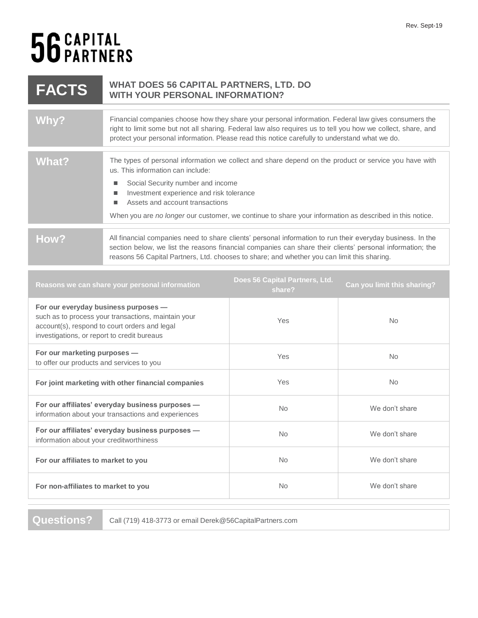## 56 CAPITAL<br>56 PARTNERS

| <b>FACTS</b>                                                                                                                                                                                | <b>WHAT DOES 56 CAPITAL PARTNERS, LTD. DO</b><br><b>WITH YOUR PERSONAL INFORMATION?</b>                                                                                                                                                                                                                                                                                        |                                          |                             |
|---------------------------------------------------------------------------------------------------------------------------------------------------------------------------------------------|--------------------------------------------------------------------------------------------------------------------------------------------------------------------------------------------------------------------------------------------------------------------------------------------------------------------------------------------------------------------------------|------------------------------------------|-----------------------------|
| Why?                                                                                                                                                                                        | Financial companies choose how they share your personal information. Federal law gives consumers the<br>right to limit some but not all sharing. Federal law also requires us to tell you how we collect, share, and<br>protect your personal information. Please read this notice carefully to understand what we do.                                                         |                                          |                             |
| <b>What?</b>                                                                                                                                                                                | The types of personal information we collect and share depend on the product or service you have with<br>us. This information can include:<br>Social Security number and income<br>п<br>Investment experience and risk tolerance<br>Assets and account transactions<br>When you are no longer our customer, we continue to share your information as described in this notice. |                                          |                             |
| How?                                                                                                                                                                                        | All financial companies need to share clients' personal information to run their everyday business. In the<br>section below, we list the reasons financial companies can share their clients' personal information; the<br>reasons 56 Capital Partners, Ltd. chooses to share; and whether you can limit this sharing.                                                         |                                          |                             |
| Reasons we can share your personal information                                                                                                                                              |                                                                                                                                                                                                                                                                                                                                                                                | Does 56 Capital Partners, Ltd.<br>share? | Can you limit this sharing? |
| For our everyday business purposes -<br>such as to process your transactions, maintain your<br>account(s), respond to court orders and legal<br>investigations, or report to credit bureaus |                                                                                                                                                                                                                                                                                                                                                                                | Yes                                      | <b>No</b>                   |
| For our marketing purposes -<br>to offer our products and services to you                                                                                                                   |                                                                                                                                                                                                                                                                                                                                                                                | Yes                                      | No                          |
|                                                                                                                                                                                             |                                                                                                                                                                                                                                                                                                                                                                                |                                          |                             |

| For joint marketing with other financial companies                                                      | Yes       | No.            |
|---------------------------------------------------------------------------------------------------------|-----------|----------------|
| For our affiliates' everyday business purposes -<br>information about your transactions and experiences | <b>No</b> | We don't share |
| For our affiliates' everyday business purposes -<br>information about your creditworthiness             | No.       | We don't share |
| For our affiliates to market to you                                                                     | <b>No</b> | We don't share |
| For non-affiliates to market to you                                                                     | <b>No</b> | We don't share |

**Questions?** Call (719) 418-3773 or email Derek@56CapitalPartners.com